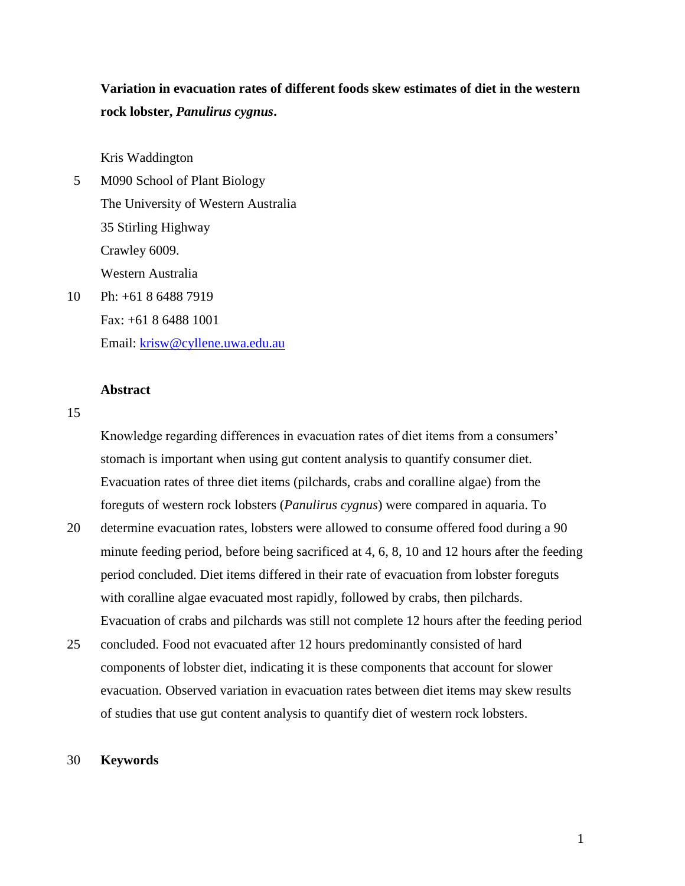**Variation in evacuation rates of different foods skew estimates of diet in the western rock lobster,** *Panulirus cygnus***.** 

Kris Waddington

- 5 M090 School of Plant Biology The University of Western Australia 35 Stirling Highway Crawley 6009. Western Australia 10 Ph: +61 8 6488 7919
- Fax: +61 8 6488 1001 Email: [krisw@cyllene.uwa.edu.au](mailto:krisw@cyllene.uwa.edu.au)

# **Abstract**

### 15

Knowledge regarding differences in evacuation rates of diet items from a consumers' stomach is important when using gut content analysis to quantify consumer diet. Evacuation rates of three diet items (pilchards, crabs and coralline algae) from the foreguts of western rock lobsters (*Panulirus cygnus*) were compared in aquaria. To

- 20 determine evacuation rates, lobsters were allowed to consume offered food during a 90 minute feeding period, before being sacrificed at 4, 6, 8, 10 and 12 hours after the feeding period concluded. Diet items differed in their rate of evacuation from lobster foreguts with coralline algae evacuated most rapidly, followed by crabs, then pilchards. Evacuation of crabs and pilchards was still not complete 12 hours after the feeding period
- 25 concluded. Food not evacuated after 12 hours predominantly consisted of hard components of lobster diet, indicating it is these components that account for slower evacuation. Observed variation in evacuation rates between diet items may skew results of studies that use gut content analysis to quantify diet of western rock lobsters.

## 30 **Keywords**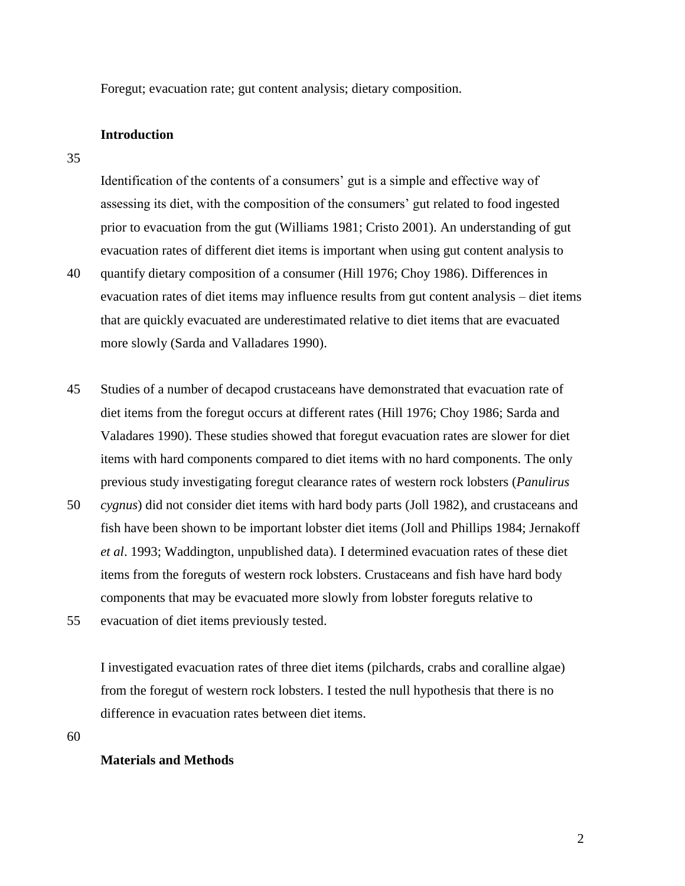Foregut; evacuation rate; gut content analysis; dietary composition.

### **Introduction**

35

Identification of the contents of a consumers' gut is a simple and effective way of assessing its diet, with the composition of the consumers' gut related to food ingested prior to evacuation from the gut (Williams 1981; Cristo 2001). An understanding of gut evacuation rates of different diet items is important when using gut content analysis to 40 quantify dietary composition of a consumer (Hill 1976; Choy 1986). Differences in evacuation rates of diet items may influence results from gut content analysis – diet items that are quickly evacuated are underestimated relative to diet items that are evacuated more slowly (Sarda and Valladares 1990).

45 Studies of a number of decapod crustaceans have demonstrated that evacuation rate of diet items from the foregut occurs at different rates (Hill 1976; Choy 1986; Sarda and Valadares 1990). These studies showed that foregut evacuation rates are slower for diet items with hard components compared to diet items with no hard components. The only previous study investigating foregut clearance rates of western rock lobsters (*Panulirus*  50 *cygnus*) did not consider diet items with hard body parts (Joll 1982), and crustaceans and

- fish have been shown to be important lobster diet items (Joll and Phillips 1984; Jernakoff *et al*. 1993; Waddington, unpublished data). I determined evacuation rates of these diet items from the foreguts of western rock lobsters. Crustaceans and fish have hard body components that may be evacuated more slowly from lobster foreguts relative to
- 55 evacuation of diet items previously tested.

I investigated evacuation rates of three diet items (pilchards, crabs and coralline algae) from the foregut of western rock lobsters. I tested the null hypothesis that there is no difference in evacuation rates between diet items.

60

## **Materials and Methods**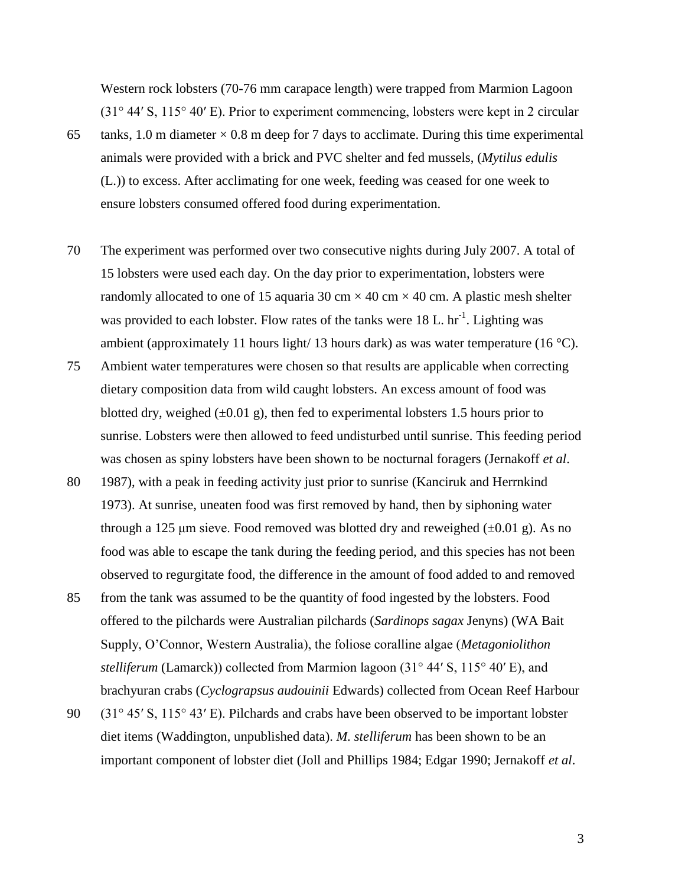Western rock lobsters (70-76 mm carapace length) were trapped from Marmion Lagoon (31° 44′ S, 115° 40′ E). Prior to experiment commencing, lobsters were kept in 2 circular

- 65 tanks, 1.0 m diameter  $\times$  0.8 m deep for 7 days to acclimate. During this time experimental animals were provided with a brick and PVC shelter and fed mussels, (*Mytilus edulis* (L.)) to excess. After acclimating for one week, feeding was ceased for one week to ensure lobsters consumed offered food during experimentation.
- 70 The experiment was performed over two consecutive nights during July 2007. A total of 15 lobsters were used each day. On the day prior to experimentation, lobsters were randomly allocated to one of 15 aquaria 30 cm  $\times$  40 cm  $\times$  40 cm. A plastic mesh shelter was provided to each lobster. Flow rates of the tanks were  $18$  L. hr<sup>-1</sup>. Lighting was ambient (approximately 11 hours light/ 13 hours dark) as was water temperature (16  $^{\circ}$ C).
- 75 Ambient water temperatures were chosen so that results are applicable when correcting dietary composition data from wild caught lobsters. An excess amount of food was blotted dry, weighed  $(\pm 0.01 \text{ g})$ , then fed to experimental lobsters 1.5 hours prior to sunrise. Lobsters were then allowed to feed undisturbed until sunrise. This feeding period was chosen as spiny lobsters have been shown to be nocturnal foragers (Jernakoff *et al*.
- 80 1987), with a peak in feeding activity just prior to sunrise (Kanciruk and Herrnkind 1973). At sunrise, uneaten food was first removed by hand, then by siphoning water through a 125  $\mu$ m sieve. Food removed was blotted dry and reweighed  $(\pm 0.01 \text{ g})$ . As no food was able to escape the tank during the feeding period, and this species has not been observed to regurgitate food, the difference in the amount of food added to and removed
- 85 from the tank was assumed to be the quantity of food ingested by the lobsters. Food offered to the pilchards were Australian pilchards (*Sardinops sagax* Jenyns) (WA Bait Supply, O'Connor, Western Australia), the foliose coralline algae (*Metagoniolithon stelliferum* (Lamarck)) collected from Marmion lagoon (31° 44′ S, 115° 40′ E), and brachyuran crabs (*Cyclograpsus audouinii* Edwards) collected from Ocean Reef Harbour
- 90 (31° 45′ S, 115° 43′ E). Pilchards and crabs have been observed to be important lobster diet items (Waddington, unpublished data). *M. stelliferum* has been shown to be an important component of lobster diet (Joll and Phillips 1984; Edgar 1990; Jernakoff *et al*.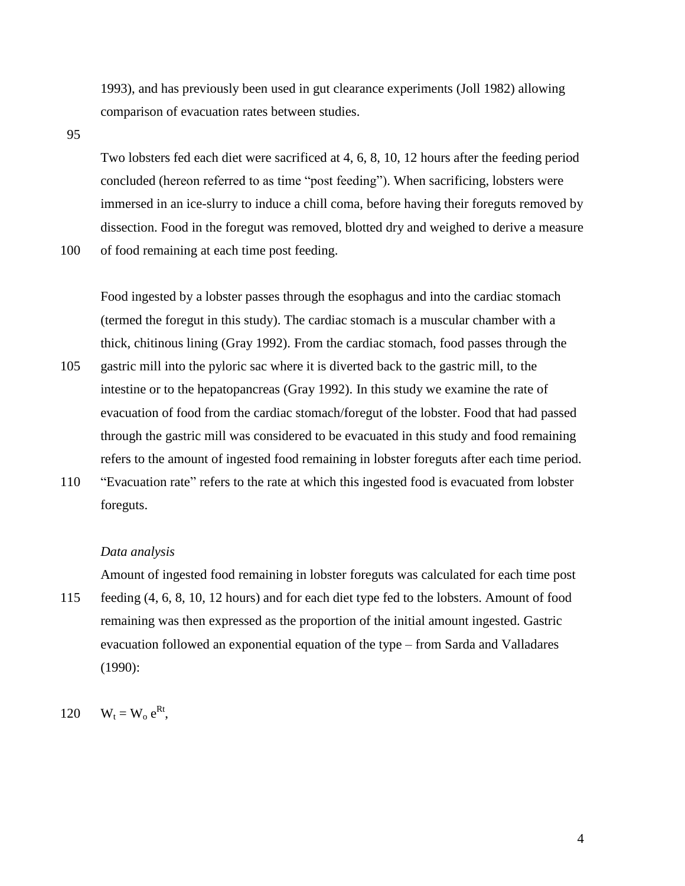1993), and has previously been used in gut clearance experiments (Joll 1982) allowing comparison of evacuation rates between studies.

95

Two lobsters fed each diet were sacrificed at 4, 6, 8, 10, 12 hours after the feeding period concluded (hereon referred to as time "post feeding"). When sacrificing, lobsters were immersed in an ice-slurry to induce a chill coma, before having their foreguts removed by dissection. Food in the foregut was removed, blotted dry and weighed to derive a measure

100 of food remaining at each time post feeding.

Food ingested by a lobster passes through the esophagus and into the cardiac stomach (termed the foregut in this study). The cardiac stomach is a muscular chamber with a thick, chitinous lining (Gray 1992). From the cardiac stomach, food passes through the

- 105 gastric mill into the pyloric sac where it is diverted back to the gastric mill, to the intestine or to the hepatopancreas (Gray 1992). In this study we examine the rate of evacuation of food from the cardiac stomach/foregut of the lobster. Food that had passed through the gastric mill was considered to be evacuated in this study and food remaining refers to the amount of ingested food remaining in lobster foreguts after each time period.
- 110 "Evacuation rate" refers to the rate at which this ingested food is evacuated from lobster foreguts.

#### *Data analysis*

Amount of ingested food remaining in lobster foreguts was calculated for each time post

115 feeding (4, 6, 8, 10, 12 hours) and for each diet type fed to the lobsters. Amount of food remaining was then expressed as the proportion of the initial amount ingested. Gastric evacuation followed an exponential equation of the type – from Sarda and Valladares (1990):

120  $W_t = W_o e^{Rt}$ ,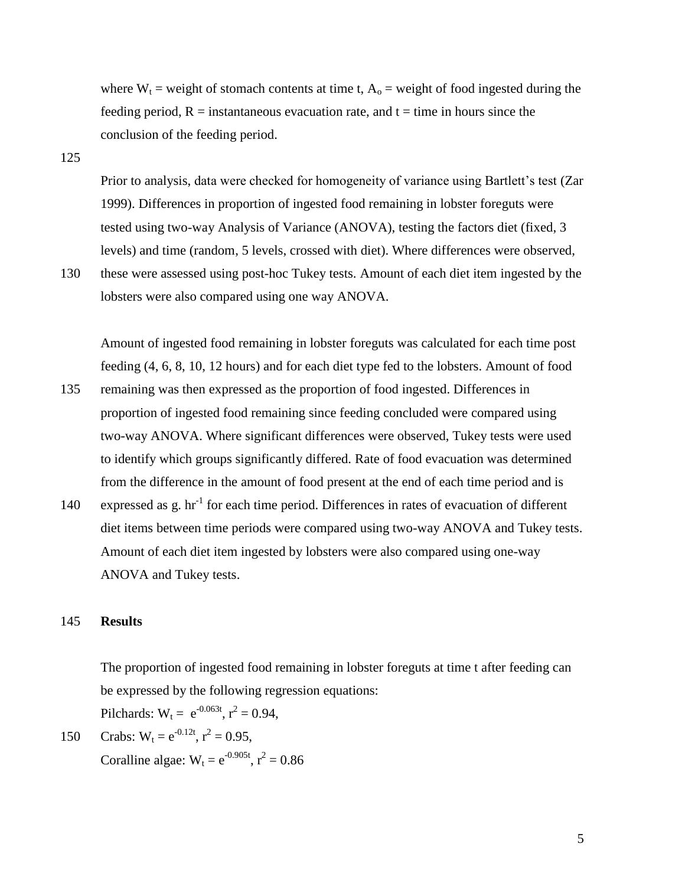where  $W_t$  = weight of stomach contents at time t,  $A_0$  = weight of food ingested during the feeding period,  $R =$  instantaneous evacuation rate, and  $t =$  time in hours since the conclusion of the feeding period.

125

Prior to analysis, data were checked for homogeneity of variance using Bartlett's test (Zar 1999). Differences in proportion of ingested food remaining in lobster foreguts were tested using two-way Analysis of Variance (ANOVA), testing the factors diet (fixed, 3 levels) and time (random, 5 levels, crossed with diet). Where differences were observed,

130 these were assessed using post-hoc Tukey tests. Amount of each diet item ingested by the lobsters were also compared using one way ANOVA.

Amount of ingested food remaining in lobster foreguts was calculated for each time post feeding (4, 6, 8, 10, 12 hours) and for each diet type fed to the lobsters. Amount of food

- 135 remaining was then expressed as the proportion of food ingested. Differences in proportion of ingested food remaining since feeding concluded were compared using two-way ANOVA. Where significant differences were observed, Tukey tests were used to identify which groups significantly differed. Rate of food evacuation was determined from the difference in the amount of food present at the end of each time period and is
- 140 expressed as g. hr<sup>-1</sup> for each time period. Differences in rates of evacuation of different diet items between time periods were compared using two-way ANOVA and Tukey tests. Amount of each diet item ingested by lobsters were also compared using one-way ANOVA and Tukey tests.

# 145 **Results**

The proportion of ingested food remaining in lobster foreguts at time t after feeding can be expressed by the following regression equations:

Pilchards:  $W_t = e^{-0.063t}$ ,  $r^2 = 0.94$ ,

150 Crabs:  $W_t = e^{-0.12t}$ ,  $r^2 = 0.95$ , Coralline algae:  $W_t = e^{-0.905t}$ ,  $r^2 = 0.86$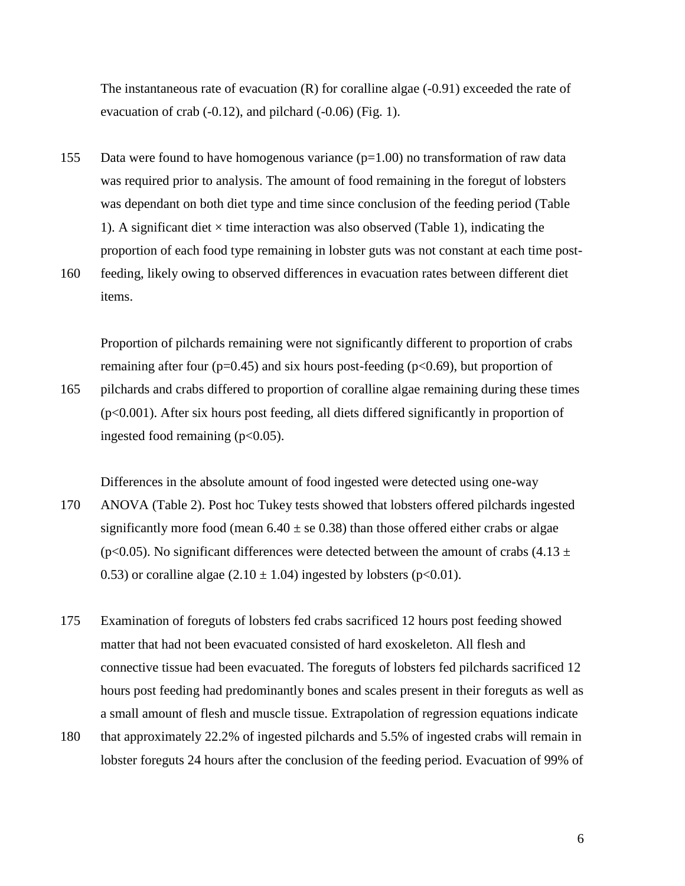The instantaneous rate of evacuation  $(R)$  for coralline algae  $(-0.91)$  exceeded the rate of evacuation of crab  $(-0.12)$ , and pilchard  $(-0.06)$  (Fig. 1).

- 155 Data were found to have homogenous variance  $(p=1.00)$  no transformation of raw data was required prior to analysis. The amount of food remaining in the foregut of lobsters was dependant on both diet type and time since conclusion of the feeding period (Table 1). A significant diet  $\times$  time interaction was also observed (Table 1), indicating the proportion of each food type remaining in lobster guts was not constant at each time post-
- 160 feeding, likely owing to observed differences in evacuation rates between different diet items.

Proportion of pilchards remaining were not significantly different to proportion of crabs remaining after four ( $p=0.45$ ) and six hours post-feeding ( $p<0.69$ ), but proportion of 165 pilchards and crabs differed to proportion of coralline algae remaining during these times (p<0.001). After six hours post feeding, all diets differed significantly in proportion of ingested food remaining  $(p<0.05)$ .

- Differences in the absolute amount of food ingested were detected using one-way 170 ANOVA (Table 2). Post hoc Tukey tests showed that lobsters offered pilchards ingested significantly more food (mean  $6.40 \pm$  se 0.38) than those offered either crabs or algae (p<0.05). No significant differences were detected between the amount of crabs (4.13  $\pm$ 0.53) or coralline algae (2.10  $\pm$  1.04) ingested by lobsters (p<0.01).
- 175 Examination of foreguts of lobsters fed crabs sacrificed 12 hours post feeding showed matter that had not been evacuated consisted of hard exoskeleton. All flesh and connective tissue had been evacuated. The foreguts of lobsters fed pilchards sacrificed 12 hours post feeding had predominantly bones and scales present in their foreguts as well as a small amount of flesh and muscle tissue. Extrapolation of regression equations indicate
- 180 that approximately 22.2% of ingested pilchards and 5.5% of ingested crabs will remain in lobster foreguts 24 hours after the conclusion of the feeding period. Evacuation of 99% of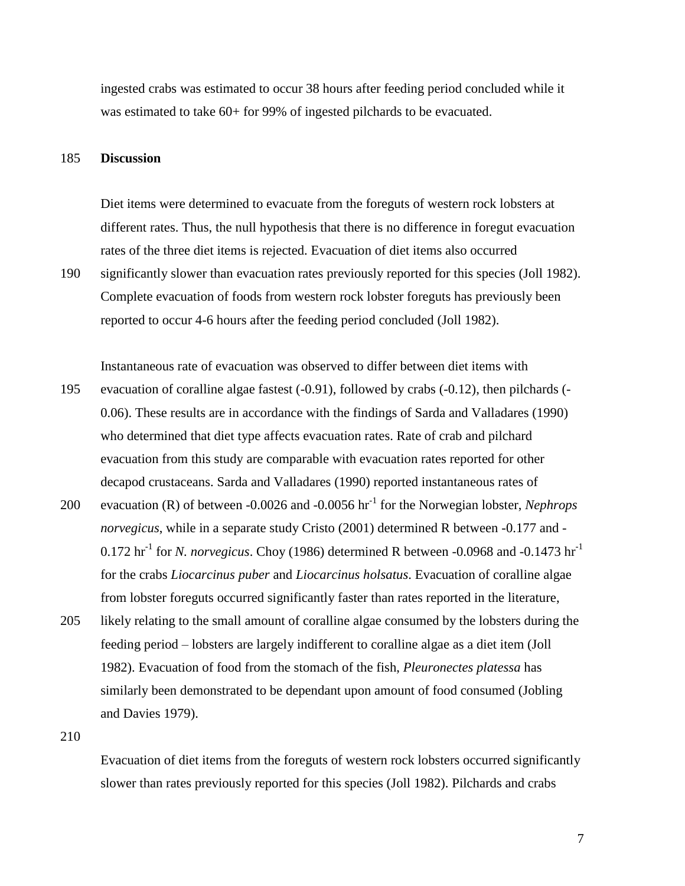ingested crabs was estimated to occur 38 hours after feeding period concluded while it was estimated to take 60+ for 99% of ingested pilchards to be evacuated.

#### 185 **Discussion**

Diet items were determined to evacuate from the foreguts of western rock lobsters at different rates. Thus, the null hypothesis that there is no difference in foregut evacuation rates of the three diet items is rejected. Evacuation of diet items also occurred

190 significantly slower than evacuation rates previously reported for this species (Joll 1982). Complete evacuation of foods from western rock lobster foreguts has previously been reported to occur 4-6 hours after the feeding period concluded (Joll 1982).

Instantaneous rate of evacuation was observed to differ between diet items with

- 195 evacuation of coralline algae fastest (-0.91), followed by crabs (-0.12), then pilchards (- 0.06). These results are in accordance with the findings of Sarda and Valladares (1990) who determined that diet type affects evacuation rates. Rate of crab and pilchard evacuation from this study are comparable with evacuation rates reported for other decapod crustaceans. Sarda and Valladares (1990) reported instantaneous rates of
- 200 evacuation (R) of between  $-0.0026$  and  $-0.0056$  hr<sup>-1</sup> for the Norwegian lobster, *Nephrops norvegicus*, while in a separate study Cristo (2001) determined R between -0.177 and -  $0.172$  hr<sup>-1</sup> for *N. norvegicus*. Choy (1986) determined R between -0.0968 and -0.1473 hr<sup>-1</sup> for the crabs *Liocarcinus puber* and *Liocarcinus holsatus*. Evacuation of coralline algae from lobster foreguts occurred significantly faster than rates reported in the literature,
- 205 likely relating to the small amount of coralline algae consumed by the lobsters during the feeding period – lobsters are largely indifferent to coralline algae as a diet item (Joll 1982). Evacuation of food from the stomach of the fish, *Pleuronectes platessa* has similarly been demonstrated to be dependant upon amount of food consumed (Jobling and Davies 1979).

210

Evacuation of diet items from the foreguts of western rock lobsters occurred significantly slower than rates previously reported for this species (Joll 1982). Pilchards and crabs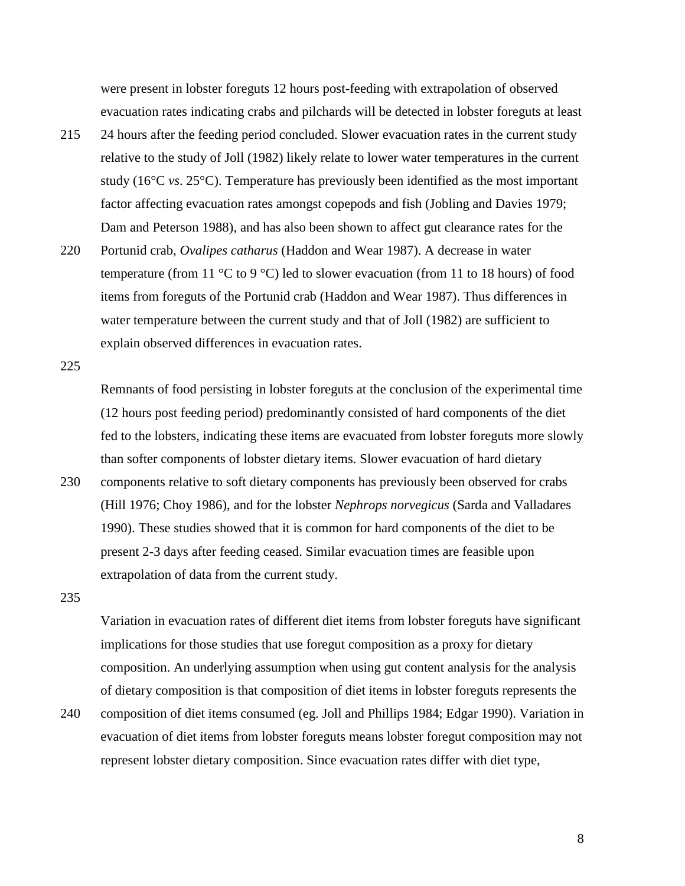were present in lobster foreguts 12 hours post-feeding with extrapolation of observed evacuation rates indicating crabs and pilchards will be detected in lobster foreguts at least

- 215 24 hours after the feeding period concluded. Slower evacuation rates in the current study relative to the study of Joll (1982) likely relate to lower water temperatures in the current study (16°C *vs*. 25°C). Temperature has previously been identified as the most important factor affecting evacuation rates amongst copepods and fish (Jobling and Davies 1979; Dam and Peterson 1988), and has also been shown to affect gut clearance rates for the
- 220 Portunid crab, *Ovalipes catharus* (Haddon and Wear 1987). A decrease in water temperature (from 11  $\degree$ C to 9  $\degree$ C) led to slower evacuation (from 11 to 18 hours) of food items from foreguts of the Portunid crab (Haddon and Wear 1987). Thus differences in water temperature between the current study and that of Joll (1982) are sufficient to explain observed differences in evacuation rates.

225

Remnants of food persisting in lobster foreguts at the conclusion of the experimental time (12 hours post feeding period) predominantly consisted of hard components of the diet fed to the lobsters, indicating these items are evacuated from lobster foreguts more slowly than softer components of lobster dietary items. Slower evacuation of hard dietary

230 components relative to soft dietary components has previously been observed for crabs (Hill 1976; Choy 1986), and for the lobster *Nephrops norvegicus* (Sarda and Valladares 1990). These studies showed that it is common for hard components of the diet to be present 2-3 days after feeding ceased. Similar evacuation times are feasible upon extrapolation of data from the current study.

235

Variation in evacuation rates of different diet items from lobster foreguts have significant implications for those studies that use foregut composition as a proxy for dietary composition. An underlying assumption when using gut content analysis for the analysis of dietary composition is that composition of diet items in lobster foreguts represents the

240 composition of diet items consumed (eg. Joll and Phillips 1984; Edgar 1990). Variation in evacuation of diet items from lobster foreguts means lobster foregut composition may not represent lobster dietary composition. Since evacuation rates differ with diet type,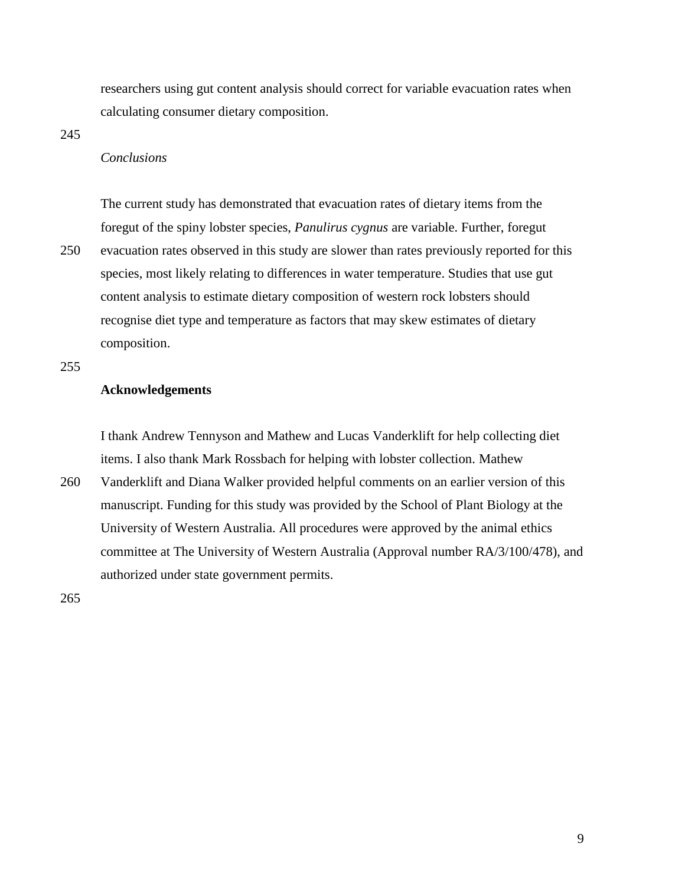researchers using gut content analysis should correct for variable evacuation rates when calculating consumer dietary composition.

245

## *Conclusions*

The current study has demonstrated that evacuation rates of dietary items from the foregut of the spiny lobster species, *Panulirus cygnus* are variable. Further, foregut 250 evacuation rates observed in this study are slower than rates previously reported for this species, most likely relating to differences in water temperature. Studies that use gut content analysis to estimate dietary composition of western rock lobsters should recognise diet type and temperature as factors that may skew estimates of dietary composition.

255

## **Acknowledgements**

I thank Andrew Tennyson and Mathew and Lucas Vanderklift for help collecting diet items. I also thank Mark Rossbach for helping with lobster collection. Mathew

260 Vanderklift and Diana Walker provided helpful comments on an earlier version of this manuscript. Funding for this study was provided by the School of Plant Biology at the University of Western Australia. All procedures were approved by the animal ethics committee at The University of Western Australia (Approval number RA/3/100/478), and authorized under state government permits.

265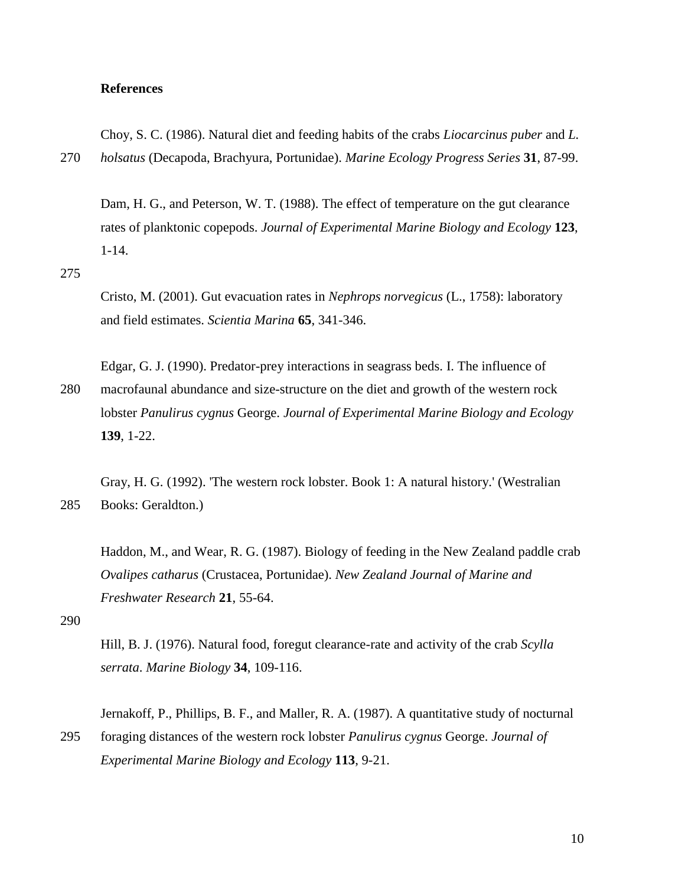### **References**

Choy, S. C. (1986). Natural diet and feeding habits of the crabs *Liocarcinus puber* and *L.*  270 *holsatus* (Decapoda, Brachyura, Portunidae). *Marine Ecology Progress Series* **31**, 87-99.

Dam, H. G., and Peterson, W. T. (1988). The effect of temperature on the gut clearance rates of planktonic copepods. *Journal of Experimental Marine Biology and Ecology* **123**, 1-14.

### 275

Cristo, M. (2001). Gut evacuation rates in *Nephrops norvegicus* (L., 1758): laboratory and field estimates. *Scientia Marina* **65**, 341-346.

Edgar, G. J. (1990). Predator-prey interactions in seagrass beds. I. The influence of

280 macrofaunal abundance and size-structure on the diet and growth of the western rock lobster *Panulirus cygnus* George. *Journal of Experimental Marine Biology and Ecology* **139**, 1-22.

Gray, H. G. (1992). 'The western rock lobster. Book 1: A natural history.' (Westralian 285 Books: Geraldton.)

Haddon, M., and Wear, R. G. (1987). Biology of feeding in the New Zealand paddle crab *Ovalipes catharus* (Crustacea, Portunidae). *New Zealand Journal of Marine and Freshwater Research* **21**, 55-64.

290

Hill, B. J. (1976). Natural food, foregut clearance-rate and activity of the crab *Scylla serrata*. *Marine Biology* **34**, 109-116.

Jernakoff, P., Phillips, B. F., and Maller, R. A. (1987). A quantitative study of nocturnal 295 foraging distances of the western rock lobster *Panulirus cygnus* George. *Journal of Experimental Marine Biology and Ecology* **113**, 9-21.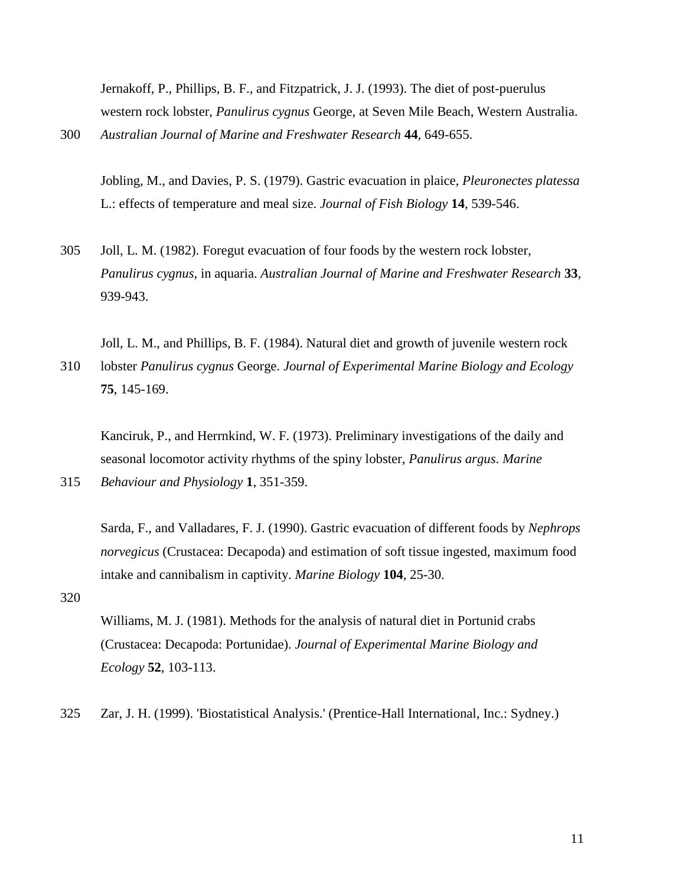Jernakoff, P., Phillips, B. F., and Fitzpatrick, J. J. (1993). The diet of post-puerulus western rock lobster, *Panulirus cygnus* George, at Seven Mile Beach, Western Australia. 300 *Australian Journal of Marine and Freshwater Research* **44**, 649-655.

Jobling, M., and Davies, P. S. (1979). Gastric evacuation in plaice*, Pleuronectes platessa* L.: effects of temperature and meal size. *Journal of Fish Biology* **14**, 539-546.

305 Joll, L. M. (1982). Foregut evacuation of four foods by the western rock lobster, *Panulirus cygnus*, in aquaria. *Australian Journal of Marine and Freshwater Research* **33**, 939-943.

Joll, L. M., and Phillips, B. F. (1984). Natural diet and growth of juvenile western rock 310 lobster *Panulirus cygnus* George. *Journal of Experimental Marine Biology and Ecology* **75**, 145-169.

Kanciruk, P., and Herrnkind, W. F. (1973). Preliminary investigations of the daily and seasonal locomotor activity rhythms of the spiny lobster, *Panulirus argus*. *Marine* 

315 *Behaviour and Physiology* **1**, 351-359.

Sarda, F., and Valladares, F. J. (1990). Gastric evacuation of different foods by *Nephrops norvegicus* (Crustacea: Decapoda) and estimation of soft tissue ingested, maximum food intake and cannibalism in captivity. *Marine Biology* **104**, 25-30.

320

Williams, M. J. (1981). Methods for the analysis of natural diet in Portunid crabs (Crustacea: Decapoda: Portunidae). *Journal of Experimental Marine Biology and Ecology* **52**, 103-113.

325 Zar, J. H. (1999). 'Biostatistical Analysis.' (Prentice-Hall International, Inc.: Sydney.)